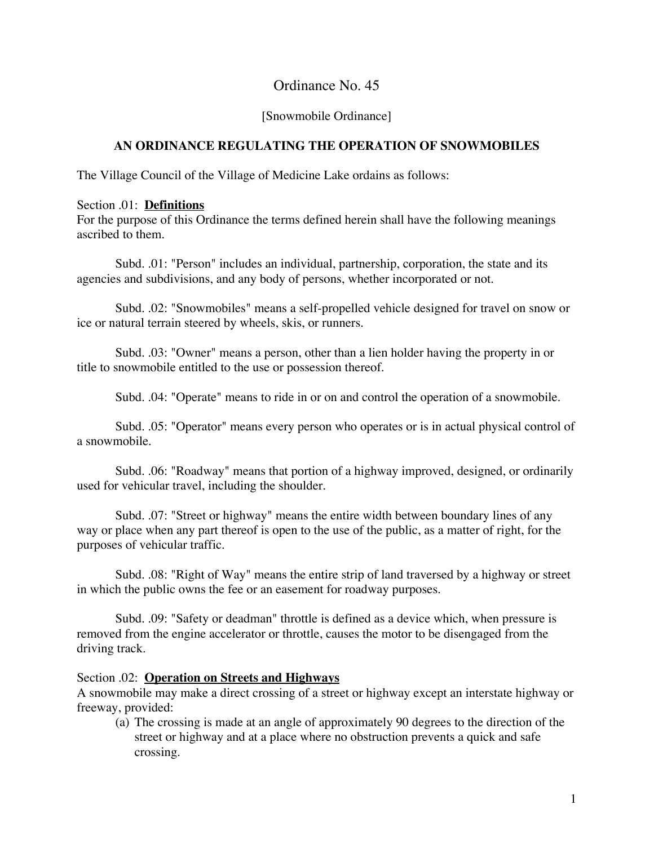# Ordinance No. 45

### [Snowmobile Ordinance]

### **AN ORDINANCE REGULATING THE OPERATION OF SNOWMOBILES**

The Village Council of the Village of Medicine Lake ordains as follows:

#### Section .01: **Definitions**

For the purpose of this Ordinance the terms defined herein shall have the following meanings ascribed to them.

Subd. .01: "Person" includes an individual, partnership, corporation, the state and its agencies and subdivisions, and any body of persons, whether incorporated or not.

Subd. .02: "Snowmobiles" means a self-propelled vehicle designed for travel on snow or ice or natural terrain steered by wheels, skis, or runners.

Subd. .03: "Owner" means a person, other than a lien holder having the property in or title to snowmobile entitled to the use or possession thereof.

Subd. .04: "Operate" means to ride in or on and control the operation of a snowmobile.

Subd. .05: "Operator" means every person who operates or is in actual physical control of a snowmobile.

Subd. .06: "Roadway" means that portion of a highway improved, designed, or ordinarily used for vehicular travel, including the shoulder.

Subd. .07: "Street or highway" means the entire width between boundary lines of any way or place when any part thereof is open to the use of the public, as a matter of right, for the purposes of vehicular traffic.

Subd. .08: "Right of Way" means the entire strip of land traversed by a highway or street in which the public owns the fee or an easement for roadway purposes.

Subd. .09: "Safety or deadman" throttle is defined as a device which, when pressure is removed from the engine accelerator or throttle, causes the motor to be disengaged from the driving track.

### Section .02: **Operation on Streets and Highways**

A snowmobile may make a direct crossing of a street or highway except an interstate highway or freeway, provided:

(a) The crossing is made at an angle of approximately 90 degrees to the direction of the street or highway and at a place where no obstruction prevents a quick and safe crossing.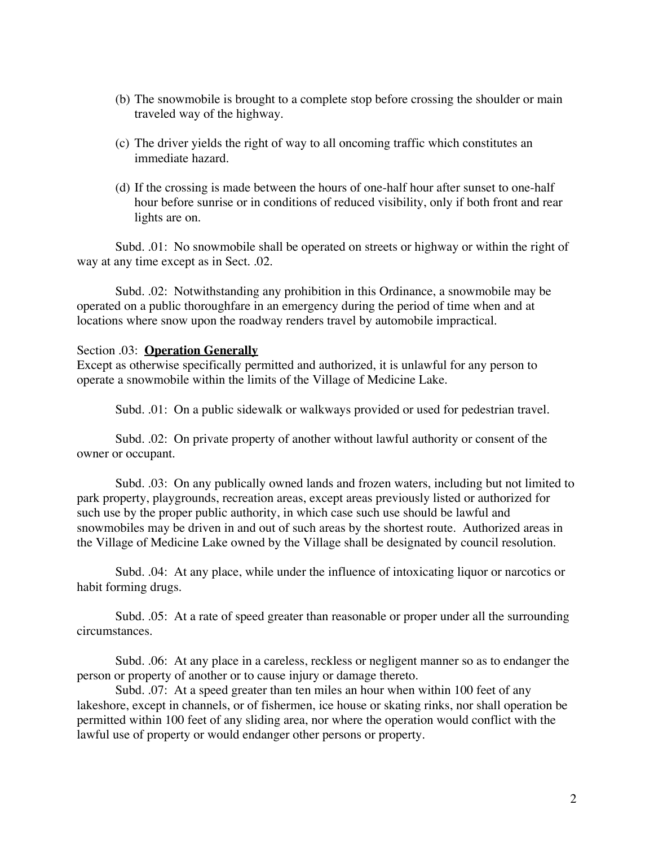- (b) The snowmobile is brought to a complete stop before crossing the shoulder or main traveled way of the highway.
- (c) The driver yields the right of way to all oncoming traffic which constitutes an immediate hazard.
- (d) If the crossing is made between the hours of one-half hour after sunset to one-half hour before sunrise or in conditions of reduced visibility, only if both front and rear lights are on.

Subd. .01: No snowmobile shall be operated on streets or highway or within the right of way at any time except as in Sect. .02.

Subd. .02: Notwithstanding any prohibition in this Ordinance, a snowmobile may be operated on a public thoroughfare in an emergency during the period of time when and at locations where snow upon the roadway renders travel by automobile impractical.

#### Section .03: **Operation Generally**

Except as otherwise specifically permitted and authorized, it is unlawful for any person to operate a snowmobile within the limits of the Village of Medicine Lake.

Subd. .01: On a public sidewalk or walkways provided or used for pedestrian travel.

Subd. .02: On private property of another without lawful authority or consent of the owner or occupant.

Subd. .03: On any publically owned lands and frozen waters, including but not limited to park property, playgrounds, recreation areas, except areas previously listed or authorized for such use by the proper public authority, in which case such use should be lawful and snowmobiles may be driven in and out of such areas by the shortest route. Authorized areas in the Village of Medicine Lake owned by the Village shall be designated by council resolution.

Subd. .04: At any place, while under the influence of intoxicating liquor or narcotics or habit forming drugs.

Subd. .05: At a rate of speed greater than reasonable or proper under all the surrounding circumstances.

Subd. .06: At any place in a careless, reckless or negligent manner so as to endanger the person or property of another or to cause injury or damage thereto.

Subd. .07: At a speed greater than ten miles an hour when within 100 feet of any lakeshore, except in channels, or of fishermen, ice house or skating rinks, nor shall operation be permitted within 100 feet of any sliding area, nor where the operation would conflict with the lawful use of property or would endanger other persons or property.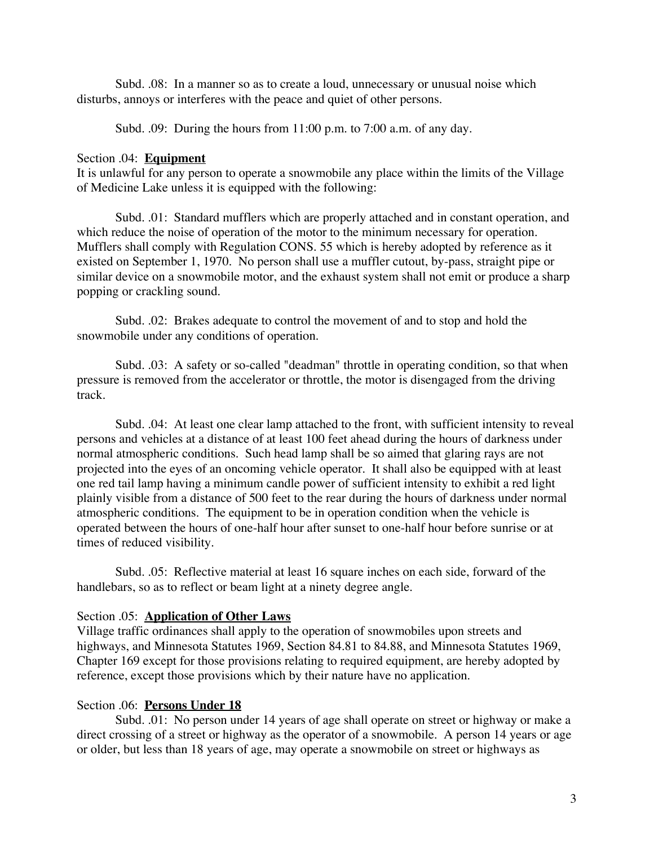Subd. .08: In a manner so as to create a loud, unnecessary or unusual noise which disturbs, annoys or interferes with the peace and quiet of other persons.

Subd. .09: During the hours from 11:00 p.m. to 7:00 a.m. of any day.

#### Section .04: **Equipment**

It is unlawful for any person to operate a snowmobile any place within the limits of the Village of Medicine Lake unless it is equipped with the following:

Subd. .01: Standard mufflers which are properly attached and in constant operation, and which reduce the noise of operation of the motor to the minimum necessary for operation. Mufflers shall comply with Regulation CONS. 55 which is hereby adopted by reference as it existed on September 1, 1970. No person shall use a muffler cutout, by-pass, straight pipe or similar device on a snowmobile motor, and the exhaust system shall not emit or produce a sharp popping or crackling sound.

Subd. .02: Brakes adequate to control the movement of and to stop and hold the snowmobile under any conditions of operation.

Subd. .03: A safety or so-called "deadman" throttle in operating condition, so that when pressure is removed from the accelerator or throttle, the motor is disengaged from the driving track.

Subd. .04: At least one clear lamp attached to the front, with sufficient intensity to reveal persons and vehicles at a distance of at least 100 feet ahead during the hours of darkness under normal atmospheric conditions. Such head lamp shall be so aimed that glaring rays are not projected into the eyes of an oncoming vehicle operator. It shall also be equipped with at least one red tail lamp having a minimum candle power of sufficient intensity to exhibit a red light plainly visible from a distance of 500 feet to the rear during the hours of darkness under normal atmospheric conditions. The equipment to be in operation condition when the vehicle is operated between the hours of one-half hour after sunset to one-half hour before sunrise or at times of reduced visibility.

Subd. .05: Reflective material at least 16 square inches on each side, forward of the handlebars, so as to reflect or beam light at a ninety degree angle.

### Section .05: **Application of Other Laws**

Village traffic ordinances shall apply to the operation of snowmobiles upon streets and highways, and Minnesota Statutes 1969, Section 84.81 to 84.88, and Minnesota Statutes 1969, Chapter 169 except for those provisions relating to required equipment, are hereby adopted by reference, except those provisions which by their nature have no application.

#### Section .06: **Persons Under 18**

Subd. .01: No person under 14 years of age shall operate on street or highway or make a direct crossing of a street or highway as the operator of a snowmobile. A person 14 years or age or older, but less than 18 years of age, may operate a snowmobile on street or highways as